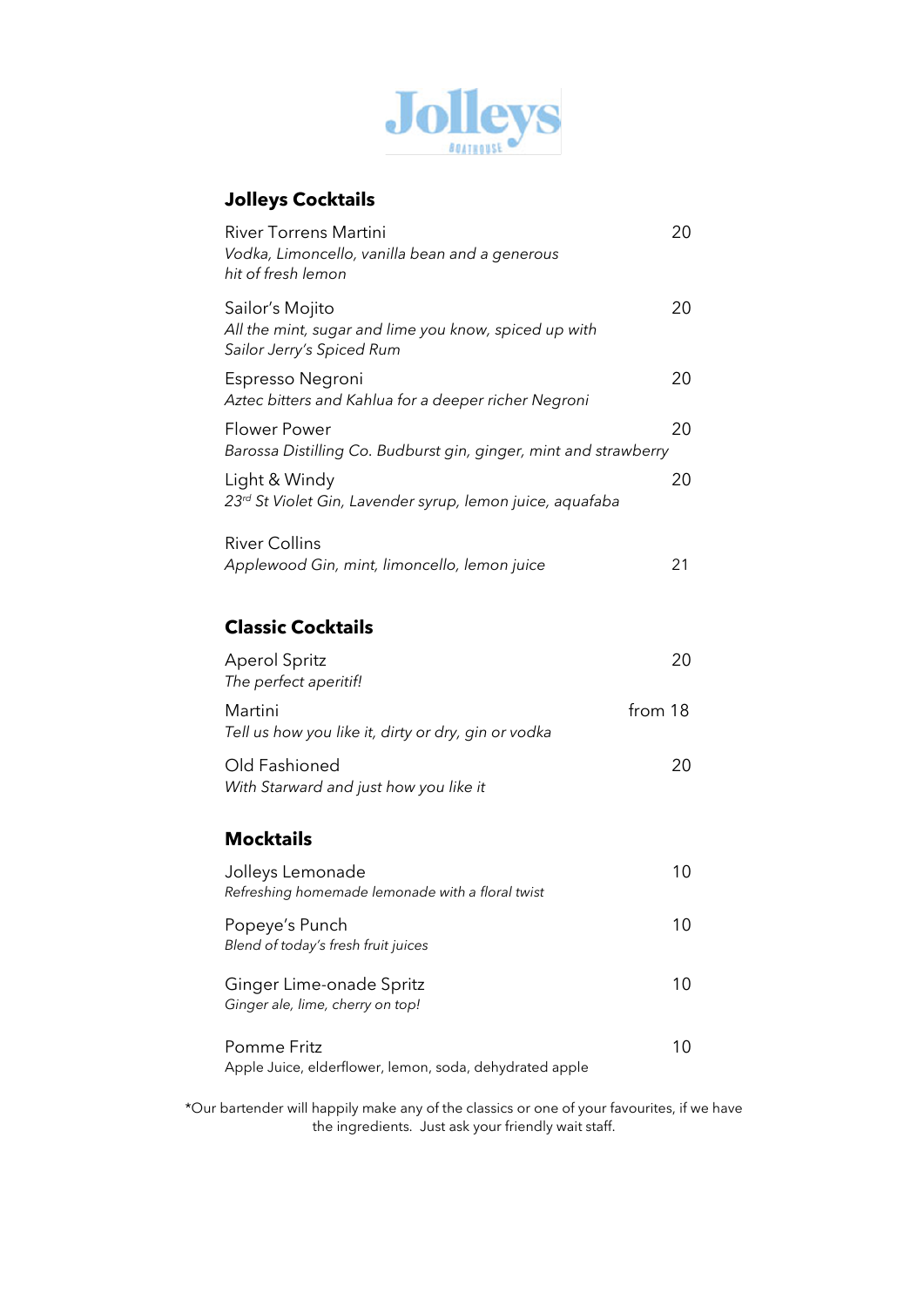

### **Jolleys Cocktails**

| <b>River Torrens Martini</b><br>Vodka, Limoncello, vanilla bean and a generous<br>hit of fresh lemon  | 20      |
|-------------------------------------------------------------------------------------------------------|---------|
| Sailor's Mojito<br>All the mint, sugar and lime you know, spiced up with<br>Sailor Jerry's Spiced Rum | 20      |
| Espresso Negroni<br>Aztec bitters and Kahlua for a deeper richer Negroni                              | 20      |
| Flower Power<br>Barossa Distilling Co. Budburst gin, ginger, mint and strawberry                      | 20      |
| Light & Windy<br>23 <sup>rd</sup> St Violet Gin, Lavender syrup, lemon juice, aquafaba                | 20      |
| <b>River Collins</b><br>Applewood Gin, mint, limoncello, lemon juice                                  | 21      |
| <b>Classic Cocktails</b>                                                                              |         |
| <b>Aperol Spritz</b><br>The perfect aperitif!                                                         | 20      |
| Martini<br>Tell us how you like it, dirty or dry, gin or vodka                                        | from 18 |
| Old Fashioned<br>With Starward and just how you like it                                               | 20      |
| <b>Mocktails</b>                                                                                      |         |
| Jolleys Lemonade<br>Refreshing homemade lemonade with a floral twist                                  | 10      |
| Popeye's Punch<br>Blend of today's fresh fruit juices                                                 | 10      |
| Ginger Lime-onade Spritz<br>Ginger ale, lime, cherry on top!                                          | 10      |
| Pomme Fritz                                                                                           | 10      |

Apple Juice, elderflower, lemon, soda, dehydrated apple

\*Our bartender will happily make any of the classics or one of your favourites, if we have the ingredients. Just ask your friendly wait staff.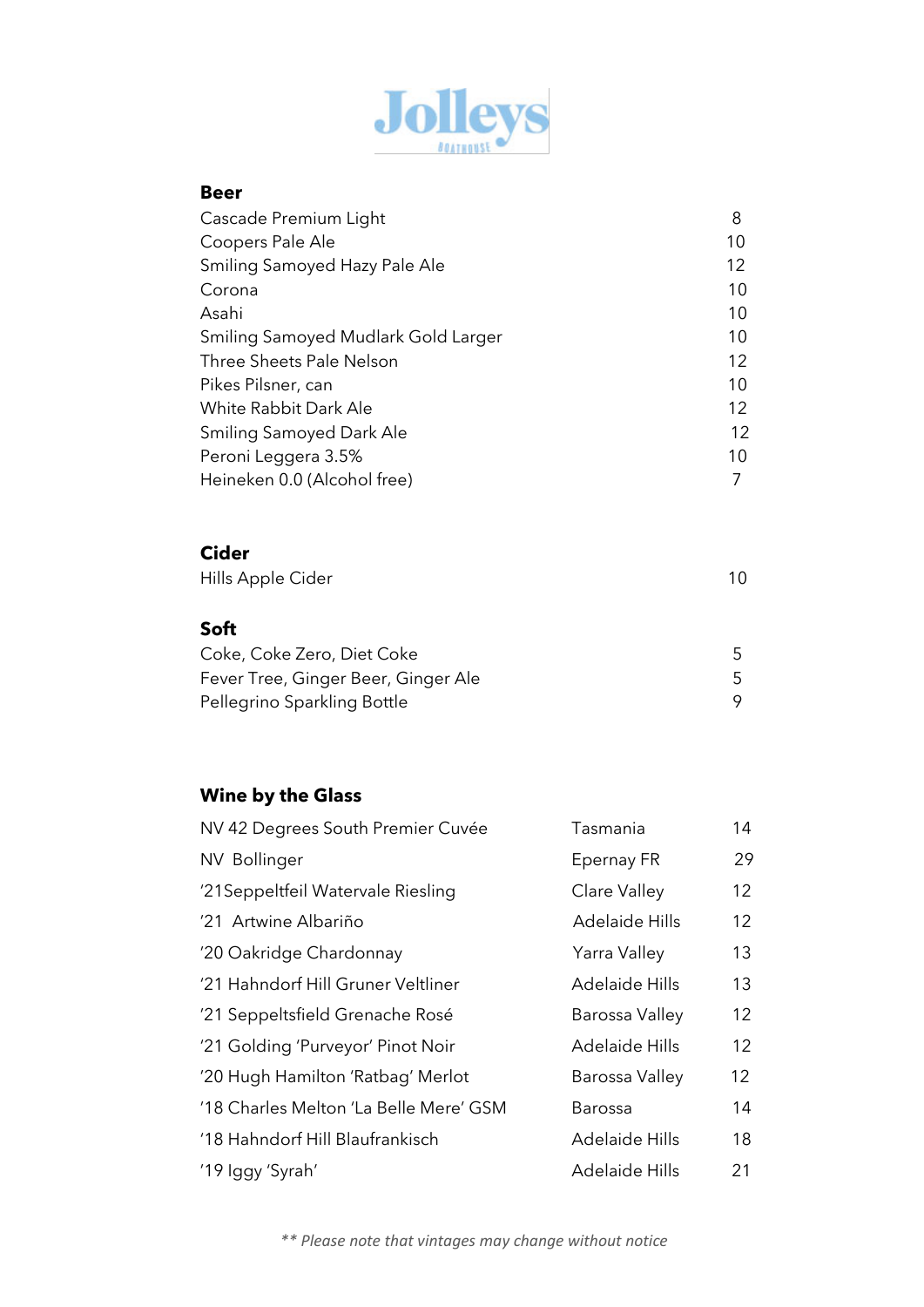

#### **Beer**

| Cascade Premium Light               | 8  |
|-------------------------------------|----|
| Coopers Pale Ale                    | 10 |
| Smiling Samoyed Hazy Pale Ale       | 12 |
| Corona                              | 10 |
| Asahi                               | 10 |
| Smiling Samoyed Mudlark Gold Larger | 10 |
| Three Sheets Pale Nelson            | 12 |
| Pikes Pilsner, can                  | 10 |
| White Rabbit Dark Ale               | 12 |
| <b>Smiling Samoyed Dark Ale</b>     | 12 |
| Peroni Leggera 3.5%                 | 10 |
| Heineken 0.0 (Alcohol free)         |    |

#### **Cider**

| Hills Apple Cider |  |
|-------------------|--|
|-------------------|--|

### **Soft**

| Coke, Coke Zero, Diet Coke          |  |
|-------------------------------------|--|
| Fever Tree, Ginger Beer, Ginger Ale |  |
| Pellegrino Sparkling Bottle         |  |

# **Wine by the Glass**

| NV 42 Degrees South Premier Cuvée      | Tasmania              | 14 |
|----------------------------------------|-----------------------|----|
| NV Bollinger                           | Epernay FR            | 29 |
| '21 Seppeltfeil Watervale Riesling     | Clare Valley          | 12 |
| '21 Artwine Albariño                   | <b>Adelaide Hills</b> | 12 |
| '20 Oakridge Chardonnay                | Yarra Valley          | 13 |
| '21 Hahndorf Hill Gruner Veltliner     | <b>Adelaide Hills</b> | 13 |
| '21 Seppeltsfield Grenache Rosé        | Barossa Valley        | 12 |
| '21 Golding 'Purveyor' Pinot Noir      | <b>Adelaide Hills</b> | 12 |
| '20 Hugh Hamilton 'Ratbag' Merlot      | Barossa Valley        | 12 |
| '18 Charles Melton 'La Belle Mere' GSM | Barossa               | 14 |
| '18 Hahndorf Hill Blaufrankisch        | <b>Adelaide Hills</b> | 18 |
| '19 Iggy 'Syrah'                       | <b>Adelaide Hills</b> | 21 |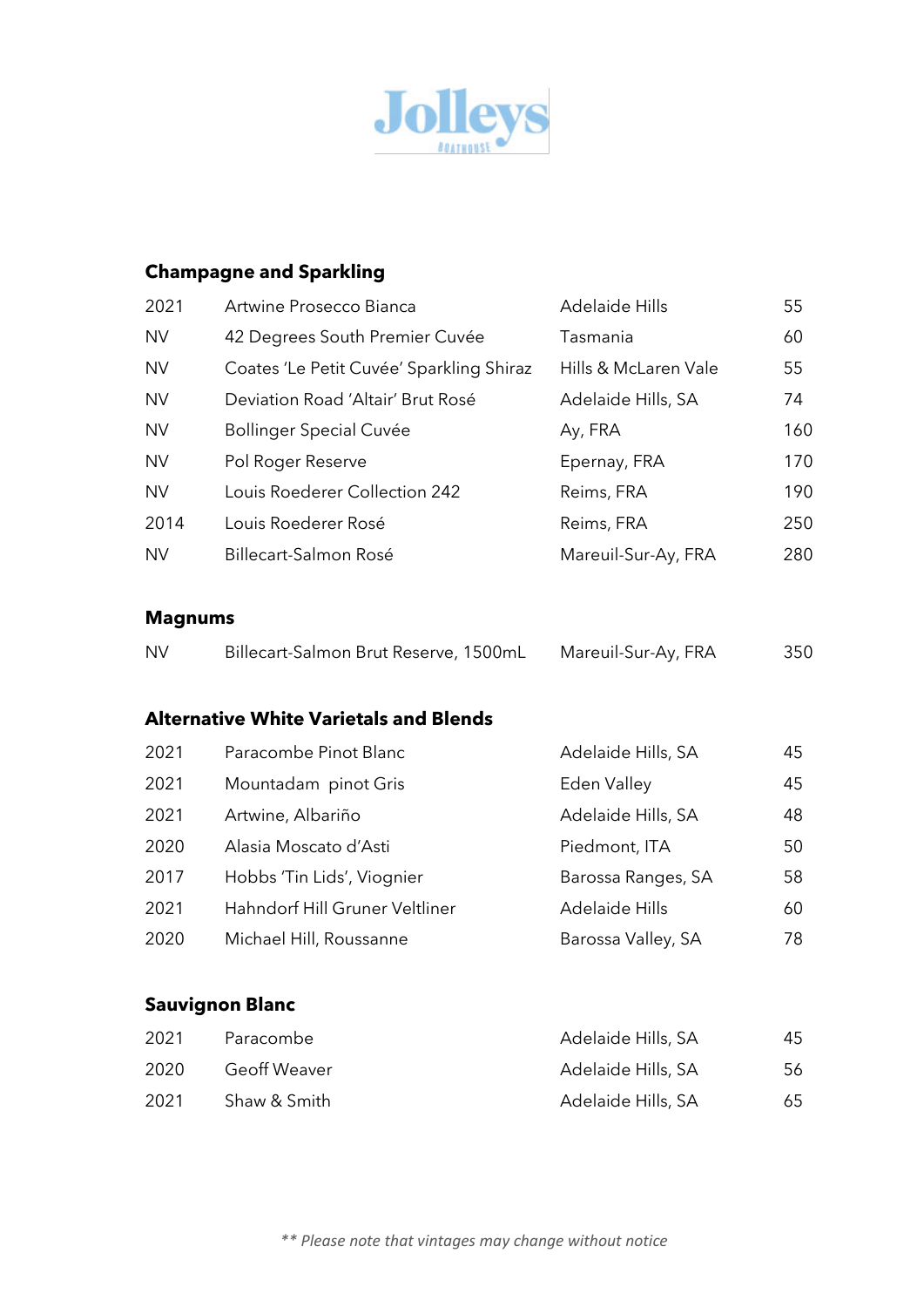

# **Champagne and Sparkling**

| 2021      | Artwine Prosecco Bianca                  | Adelaide Hills       | 55  |
|-----------|------------------------------------------|----------------------|-----|
| <b>NV</b> | 42 Degrees South Premier Cuvée           | Tasmania             | 60  |
| <b>NV</b> | Coates 'Le Petit Cuvée' Sparkling Shiraz | Hills & McLaren Vale | 55  |
| <b>NV</b> | Deviation Road 'Altair' Brut Rosé        | Adelaide Hills, SA   | 74  |
| <b>NV</b> | <b>Bollinger Special Cuvée</b>           | Ay, FRA              | 160 |
| <b>NV</b> | Pol Roger Reserve                        | Epernay, FRA         | 170 |
| <b>NV</b> | Louis Roederer Collection 242            | Reims, FRA           | 190 |
| 2014      | Louis Roederer Rosé                      | Reims, FRA           | 250 |
| <b>NV</b> | Billecart-Salmon Rosé                    | Mareuil-Sur-Ay, FRA  | 280 |
|           |                                          |                      |     |

#### **Magnums**

| <b>NV</b> | Billecart-Salmon Brut Reserve, 1500mL | Mareuil-Sur-Ay, FRA | 350 |
|-----------|---------------------------------------|---------------------|-----|
|-----------|---------------------------------------|---------------------|-----|

### **Alternative White Varietals and Blends**

| 2021 | Paracombe Pinot Blanc          | Adelaide Hills, SA | 45  |
|------|--------------------------------|--------------------|-----|
| 2021 | Mountadam pinot Gris           | Eden Valley        | 45  |
| 2021 | Artwine, Albariño              | Adelaide Hills, SA | 48  |
| 2020 | Alasia Moscato d'Asti          | Piedmont, ITA      | 50  |
| 2017 | Hobbs 'Tin Lids', Viognier     | Barossa Ranges, SA | 58  |
| 2021 | Hahndorf Hill Gruner Veltliner | Adelaide Hills     | 60  |
| 2020 | Michael Hill, Roussanne        | Barossa Valley, SA | 78. |

### **Sauvignon Blanc**

| 2021  | Paracombe           | Adelaide Hills, SA | 45 |
|-------|---------------------|--------------------|----|
| -2020 | <b>Geoff Weaver</b> | Adelaide Hills, SA | 56 |
| -2021 | Shaw & Smith        | Adelaide Hills, SA | 65 |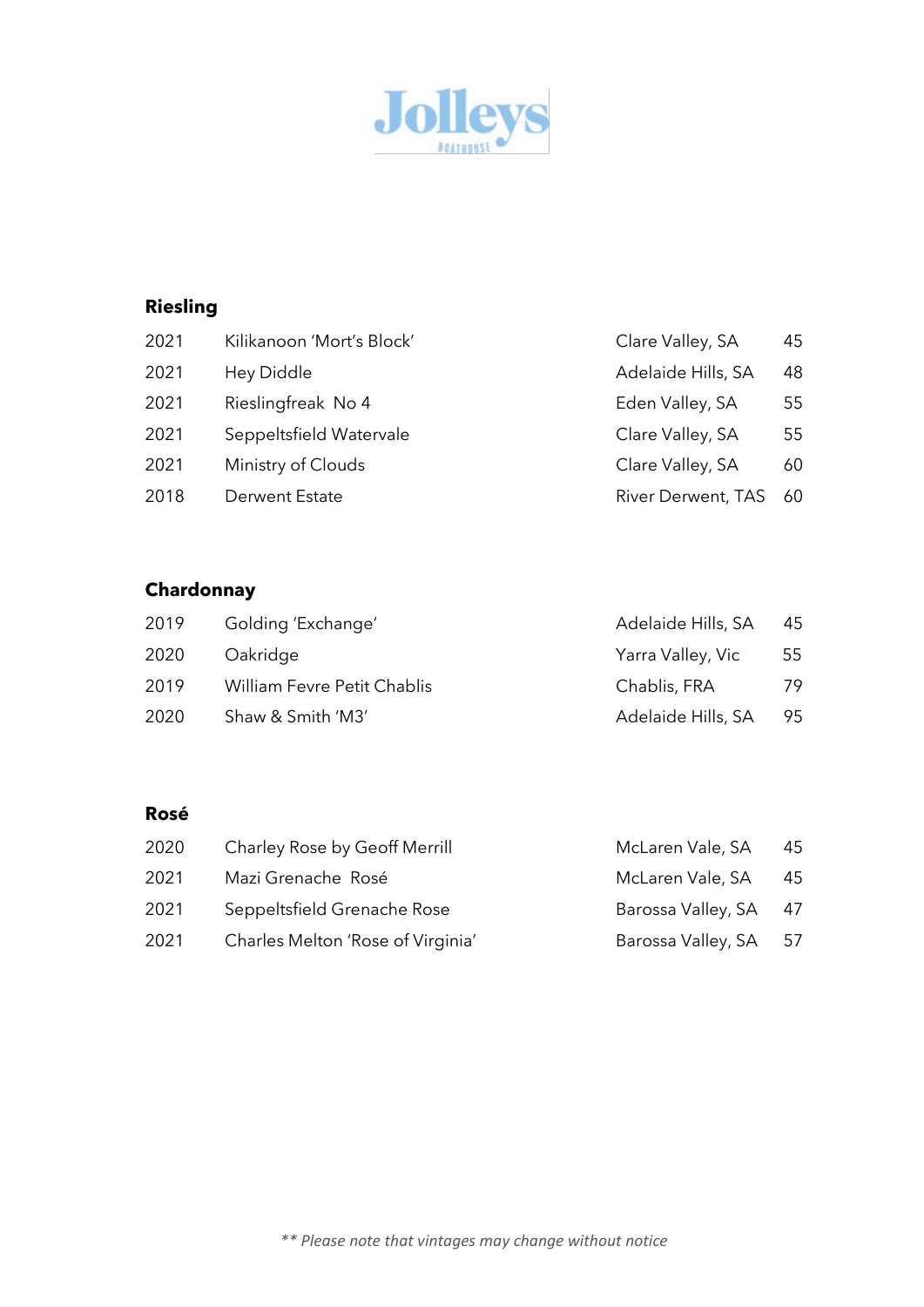

# **Riesling**

| 2021 | Kilikanoon 'Mort's Block' | Clare Valley, SA          | 45 |
|------|---------------------------|---------------------------|----|
| 2021 | Hey Diddle                | Adelaide Hills, SA        | 48 |
| 2021 | Rieslingfreak No 4        | Eden Valley, SA           | 55 |
| 2021 | Seppeltsfield Watervale   | Clare Valley, SA          | 55 |
| 2021 | Ministry of Clouds        | Clare Valley, SA          | 60 |
| 2018 | Derwent Estate            | <b>River Derwent, TAS</b> | 60 |
|      |                           |                           |    |

# **Chardonnay**

| 2019 | Golding 'Exchange'                 | Adelaide Hills, SA | 45 |
|------|------------------------------------|--------------------|----|
| 2020 | Oakridge                           | Yarra Valley, Vic  | 55 |
| 2019 | <b>William Fevre Petit Chablis</b> | Chablis, FRA       | 79 |
| 2020 | Shaw & Smith 'M3'                  | Adelaide Hills, SA | 95 |

#### **Rosé**

| 2020 | Charley Rose by Geoff Merrill     | McLaren Vale, SA      | 45 |
|------|-----------------------------------|-----------------------|----|
| 2021 | Mazi Grenache Rosé                | McLaren Vale, SA      | 45 |
| 2021 | Seppeltsfield Grenache Rose       | Barossa Valley, SA 47 |    |
| 2021 | Charles Melton 'Rose of Virginia' | Barossa Valley, SA 57 |    |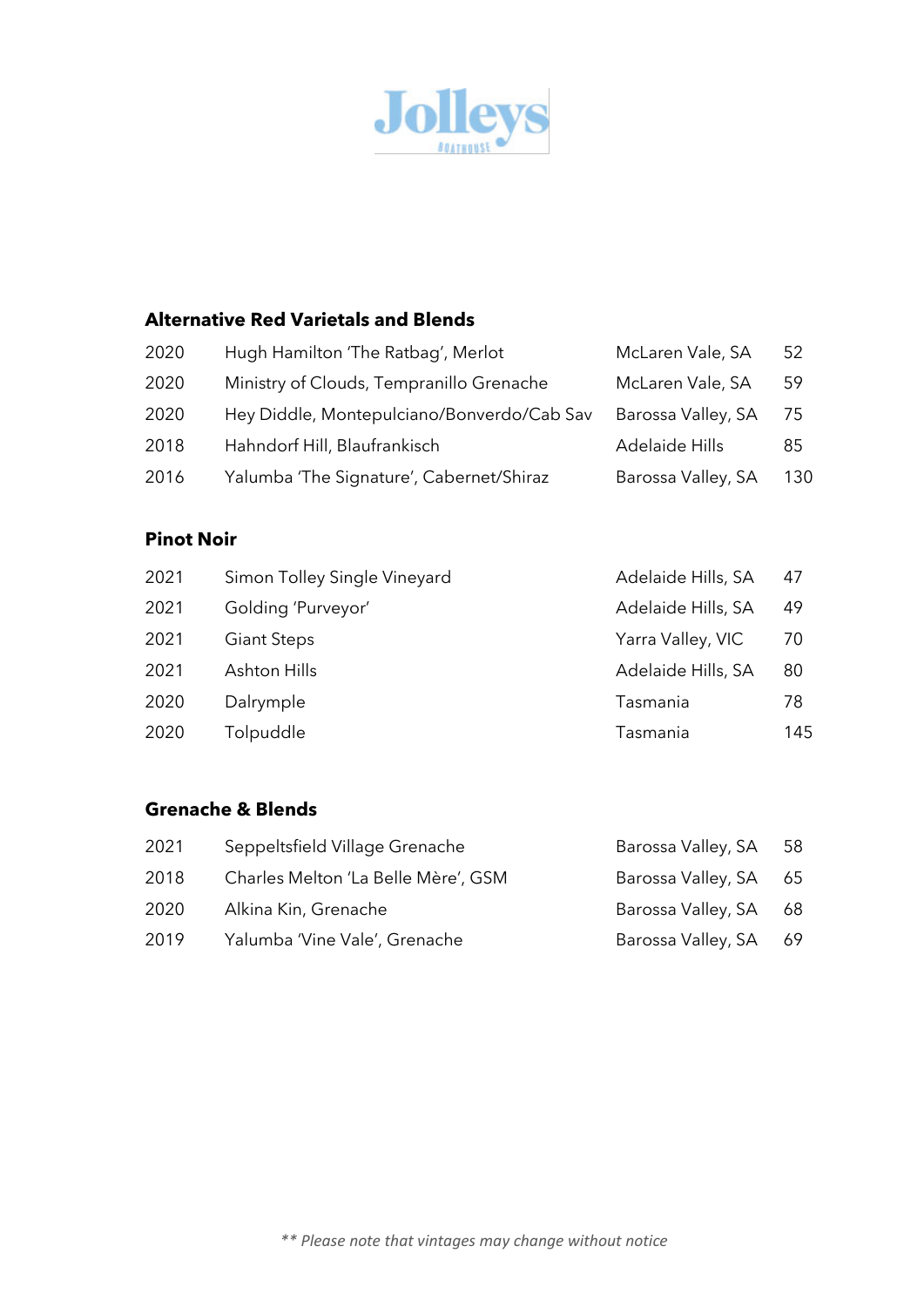

### **Alternative Red Varietals and Blends**

| 2020 | Hugh Hamilton 'The Ratbag', Merlot         | McLaren Vale, SA   | 52  |
|------|--------------------------------------------|--------------------|-----|
| 2020 | Ministry of Clouds, Tempranillo Grenache   | McLaren Vale, SA   | 59  |
| 2020 | Hey Diddle, Montepulciano/Bonverdo/Cab Sav | Barossa Valley, SA | 75  |
| 2018 | Hahndorf Hill, Blaufrankisch               | Adelaide Hills     | 85  |
| 2016 | Yalumba 'The Signature', Cabernet/Shiraz   | Barossa Valley, SA | 130 |
|      |                                            |                    |     |

### **Pinot Noir**

| 2021 | Simon Tolley Single Vineyard | Adelaide Hills, SA | 47  |
|------|------------------------------|--------------------|-----|
| 2021 | Golding 'Purveyor'           | Adelaide Hills, SA | 49  |
| 2021 | <b>Giant Steps</b>           | Yarra Valley, VIC  | 70  |
| 2021 | Ashton Hills                 | Adelaide Hills, SA | 80  |
| 2020 | Dalrymple                    | Tasmania           | 78  |
| 2020 | Tolpuddle                    | Tasmania           | 145 |

### **Grenache & Blends**

| 2021 | Seppeltsfield Village Grenache      | Barossa Valley, SA    | 58  |
|------|-------------------------------------|-----------------------|-----|
| 2018 | Charles Melton 'La Belle Mère', GSM | Barossa Valley, SA    | 65  |
| 2020 | Alkina Kin, Grenache                | Barossa Valley, SA    | -68 |
| 2019 | Yalumba 'Vine Vale', Grenache       | Barossa Valley, SA 69 |     |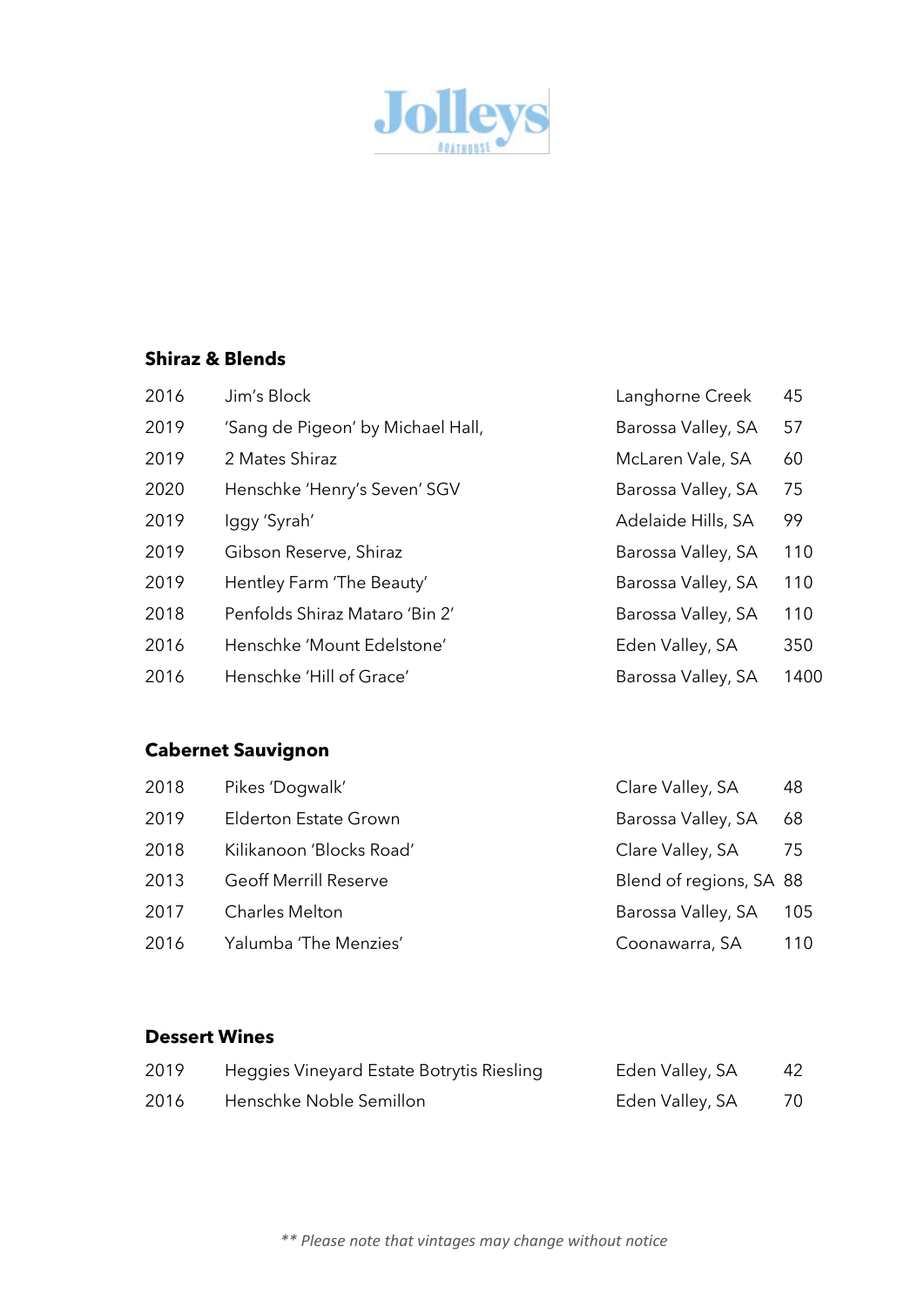

### **Shiraz & Blends**

| 2016 | Jim's Block                       | Langhorne Creek    | 45   |
|------|-----------------------------------|--------------------|------|
| 2019 | 'Sang de Pigeon' by Michael Hall, | Barossa Valley, SA | 57   |
| 2019 | 2 Mates Shiraz                    | McLaren Vale, SA   | 60   |
| 2020 | Henschke 'Henry's Seven' SGV      | Barossa Valley, SA | 75   |
| 2019 | Iggy 'Syrah'                      | Adelaide Hills, SA | 99   |
| 2019 | Gibson Reserve, Shiraz            | Barossa Valley, SA | 110  |
| 2019 | Hentley Farm 'The Beauty'         | Barossa Valley, SA | 110  |
| 2018 | Penfolds Shiraz Mataro 'Bin 2'    | Barossa Valley, SA | 110  |
| 2016 | Henschke 'Mount Edelstone'        | Eden Valley, SA    | 350  |
| 2016 | Henschke 'Hill of Grace'          | Barossa Valley, SA | 1400 |

# **Cabernet Sauvignon**

| 2018 | Pikes 'Dogwalk'              | Clare Valley, SA        | 48  |
|------|------------------------------|-------------------------|-----|
| 2019 | <b>Elderton Estate Grown</b> | Barossa Valley, SA      | 68  |
| 2018 | Kilikanoon 'Blocks Road'     | Clare Valley, SA        | -75 |
| 2013 | <b>Geoff Merrill Reserve</b> | Blend of regions, SA 88 |     |
| 2017 | <b>Charles Melton</b>        | Barossa Valley, SA      | 105 |
| 2016 | Yalumba 'The Menzies'        | Coonawarra, SA          | 110 |

#### **Dessert Wines**

| 2019 | Heggies Vineyard Estate Botrytis Riesling | Eden Valley, SA | 42 |
|------|-------------------------------------------|-----------------|----|
| 2016 | Henschke Noble Semillon                   | Eden Valley, SA | 70 |